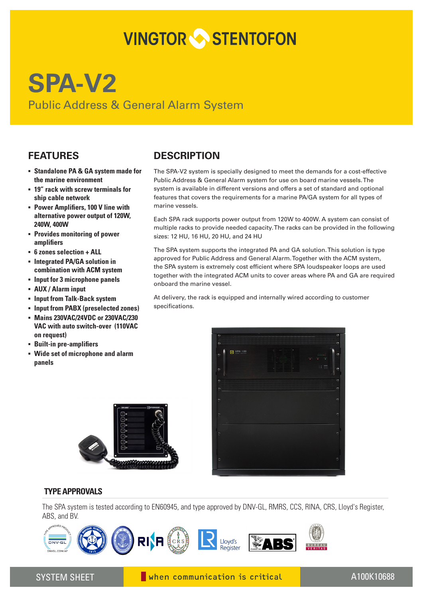# **VINGTOR STENTOFON**

## **SPA-V2** Public Address & General Alarm System

#### **FEATURES**

- **▪ Standalone PA & GA system made for the marine environment**
- **▪ 19" rack with screw terminals for ship cable network**
- **▪ Power Amplifiers, 100 V line with alternative power output of 120W, 240W, 400W**
- **▪ Provides monitoring of power amplifiers**
- **▪ 6 zones selection + ALL**
- **▪ Integrated PA/GA solution in combination with ACM system**
- **▪ Input for 3 microphone panels**
- **▪ AUX / Alarm input**
- **▪ Input from Talk-Back system**
- **▪ Input from PABX (preselected zones)**
- **▪ Mains 230VAC/24VDC or 230VAC/230 VAC with auto switch-over (110VAC on request)**
- **▪ Built-in pre-amplifiers**
- **▪ Wide set of microphone and alarm panels**

### **DESCRIPTION**

The SPA-V2 system is specially designed to meet the demands for a cost-effective Public Address & General Alarm system for use on board marine vessels. The system is available in different versions and offers a set of standard and optional features that covers the requirements for a marine PA/GA system for all types of marine vessels.

Each SPA rack supports power output from 120W to 400W. A system can consist of multiple racks to provide needed capacity. The racks can be provided in the following sizes: 12 HU, 16 HU, 20 HU, and 24 HU

The SPA system supports the integrated PA and GA solution. This solution is type approved for Public Address and General Alarm. Together with the ACM system, the SPA system is extremely cost efficient where SPA loudspeaker loops are used together with the integrated ACM units to cover areas where PA and GA are required onboard the marine vessel.

At delivery, the rack is equipped and internally wired according to customer specifications.





The SPA system is tested according to EN60945, and type approved by DNV-GL, RMRS, CCS, RINA, CRS, Lloyd's Register, ABS, and BV.